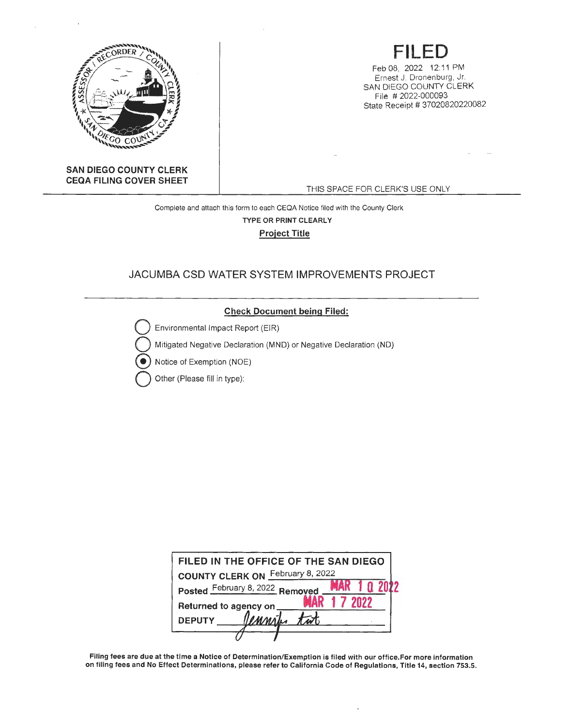

# **FILED**

Feb 08, 2022 12 11 PM Ernest J. Dronenburg, Jr. SAN DIEGO COUNTY CLERK File # 2022-000093 State Receipt # 37020820220082

**SAN DIEGO COUNTY CLERK CEQA FILING COVER SHEET** 

THIS SPACE FOR CLERK'S USE ONLY

Complete and attach this form to each CEQA Notice filed with the County Clerk **TYPE OR PRINT CLEARLY Project Title** 

## JACUMBA CSD WATER SYSTEM IMPROVEMENTS PROJECT



| FILED IN THE OFFICE OF THE SAN DIEGO       |  |
|--------------------------------------------|--|
| February 8, 2022<br><b>COUNTY CLERK ON</b> |  |
| Posted February 8, 2022 Removed            |  |
| Returned to agency on                      |  |
| Vennik<br><b>DEPUTY</b>                    |  |
|                                            |  |

Filing fees are due at the time a Notice of Determination/Exemption is filed with our office.For more information on filing fees and No Effect Determinations, please refer to California Code of Regulations, Title 14, section 753.5.